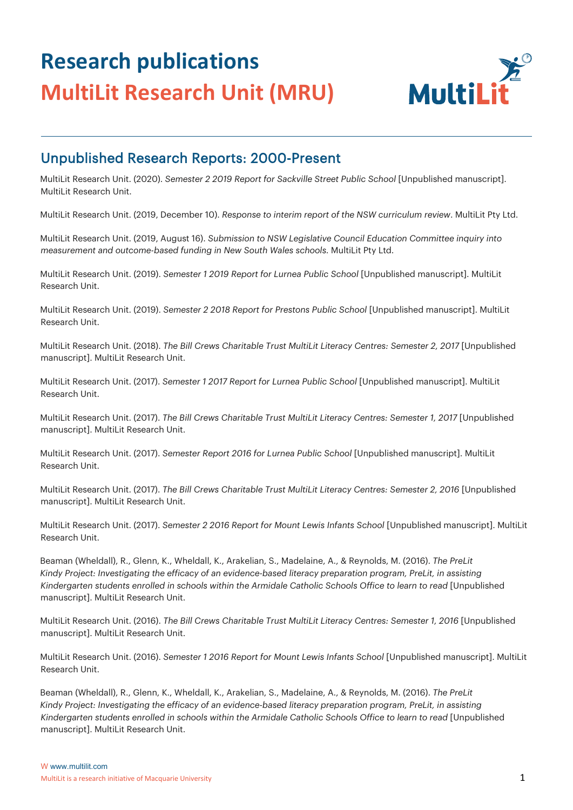

#### Unpublished Research Reports: 2000-Present

MultiLit Research Unit. (2020). *Semester 2 2019 Report for Sackville Street Public School* [Unpublished manuscript]. MultiLit Research Unit.

MultiLit Research Unit. (2019, December 10). *Response to interim report of the NSW curriculum review*. MultiLit Pty Ltd.

MultiLit Research Unit. (2019, August 16). *Submission to NSW Legislative Council Education Committee inquiry into measurement and outcome-based funding in New South Wales schools.* MultiLit Pty Ltd.

MultiLit Research Unit. (2019). *Semester 1 2019 Report for Lurnea Public School* [Unpublished manuscript]. MultiLit Research Unit.

MultiLit Research Unit. (2019). *Semester 2 2018 Report for Prestons Public School* [Unpublished manuscript]. MultiLit Research Unit.

MultiLit Research Unit. (2018). *The Bill Crews Charitable Trust MultiLit Literacy Centres: Semester 2, 2017* [Unpublished manuscript]. MultiLit Research Unit.

MultiLit Research Unit. (2017). *Semester 1 2017 Report for Lurnea Public School* [Unpublished manuscript]. MultiLit Research Unit.

MultiLit Research Unit. (2017). *The Bill Crews Charitable Trust MultiLit Literacy Centres: Semester 1, 2017* [Unpublished manuscript]. MultiLit Research Unit.

MultiLit Research Unit. (2017). *Semester Report 2016 for Lurnea Public School* [Unpublished manuscript]. MultiLit Research Unit.

MultiLit Research Unit. (2017). *The Bill Crews Charitable Trust MultiLit Literacy Centres: Semester 2, 2016* [Unpublished manuscript]. MultiLit Research Unit.

MultiLit Research Unit. (2017). *Semester 2 2016 Report for Mount Lewis Infants School* [Unpublished manuscript]. MultiLit Research Unit.

Beaman (Wheldall), R., Glenn, K., Wheldall, K., Arakelian, S., Madelaine, A., & Reynolds, M. (2016). *The PreLit Kindy Project: Investigating the efficacy of an evidence-based literacy preparation program, PreLit, in assisting Kindergarten students enrolled in schools within the Armidale Catholic Schools Office to learn to read* [Unpublished manuscript]. MultiLit Research Unit.

MultiLit Research Unit. (2016). *The Bill Crews Charitable Trust MultiLit Literacy Centres: Semester 1, 2016* [Unpublished manuscript]. MultiLit Research Unit.

MultiLit Research Unit. (2016). *Semester 1 2016 Report for Mount Lewis Infants School* [Unpublished manuscript]. MultiLit Research Unit.

Beaman (Wheldall), R., Glenn, K., Wheldall, K., Arakelian, S., Madelaine, A., & Reynolds, M. (2016). *The PreLit Kindy Project: Investigating the efficacy of an evidence-based literacy preparation program, PreLit, in assisting Kindergarten students enrolled in schools within the Armidale Catholic Schools Office to learn to read* [Unpublished manuscript]. MultiLit Research Unit.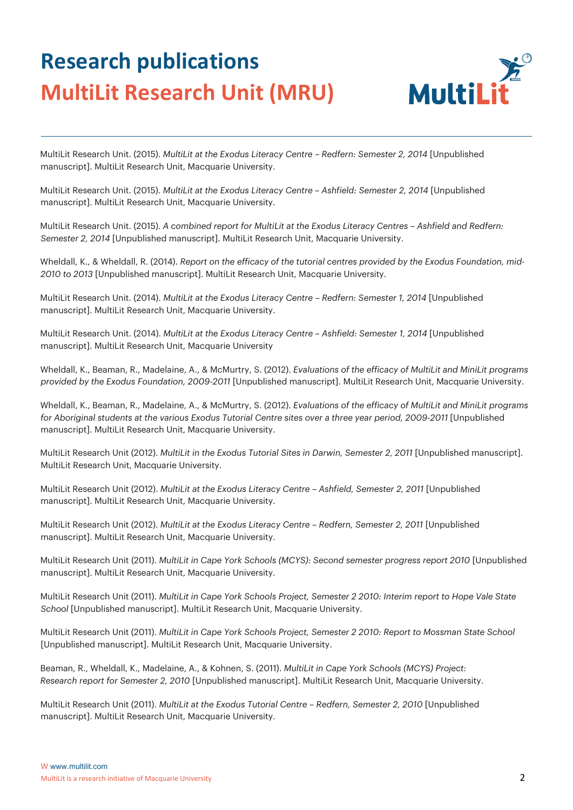

MultiLit Research Unit. (2015). *MultiLit at the Exodus Literacy Centre – Redfern: Semester 2, 2014* [Unpublished manuscript]. MultiLit Research Unit, Macquarie University.

MultiLit Research Unit. (2015). *MultiLit at the Exodus Literacy Centre – Ashfield: Semester 2, 2014* [Unpublished manuscript]. MultiLit Research Unit, Macquarie University.

MultiLit Research Unit. (2015). *A combined report for MultiLit at the Exodus Literacy Centres – Ashfield and Redfern: Semester 2, 2014* [Unpublished manuscript]. MultiLit Research Unit, Macquarie University.

Wheldall, K., & Wheldall, R. (2014). *Report on the efficacy of the tutorial centres provided by the Exodus Foundation, mid-2010 to 2013* [Unpublished manuscript]. MultiLit Research Unit, Macquarie University.

MultiLit Research Unit. (2014). *MultiLit at the Exodus Literacy Centre – Redfern: Semester 1, 2014* [Unpublished manuscript]. MultiLit Research Unit, Macquarie University.

MultiLit Research Unit. (2014). *MultiLit at the Exodus Literacy Centre – Ashfield: Semester 1, 2014* [Unpublished manuscript]. MultiLit Research Unit, Macquarie University

Wheldall, K., Beaman, R., Madelaine, A., & McMurtry, S. (2012). *Evaluations of the efficacy of MultiLit and MiniLit programs provided by the Exodus Foundation, 2009-2011* [Unpublished manuscript]. MultiLit Research Unit, Macquarie University.

Wheldall, K., Beaman, R., Madelaine, A., & McMurtry, S. (2012). *Evaluations of the efficacy of MultiLit and MiniLit programs for Aboriginal students at the various Exodus Tutorial Centre sites over a three year period, 2009-2011* [Unpublished manuscript]. MultiLit Research Unit, Macquarie University.

MultiLit Research Unit (2012). *MultiLit in the Exodus Tutorial Sites in Darwin, Semester 2, 2011* [Unpublished manuscript]. MultiLit Research Unit, Macquarie University.

MultiLit Research Unit (2012). *MultiLit at the Exodus Literacy Centre – Ashfield, Semester 2, 2011* [Unpublished manuscript]. MultiLit Research Unit, Macquarie University.

MultiLit Research Unit (2012). *MultiLit at the Exodus Literacy Centre – Redfern, Semester 2, 2011* [Unpublished manuscript]. MultiLit Research Unit, Macquarie University.

MultiLit Research Unit (2011). *MultiLit in Cape York Schools (MCYS): Second semester progress report 2010* [Unpublished manuscript]. MultiLit Research Unit, Macquarie University.

MultiLit Research Unit (2011). *MultiLit in Cape York Schools Project, Semester 2 2010: Interim report to Hope Vale State School* [Unpublished manuscript]. MultiLit Research Unit, Macquarie University.

MultiLit Research Unit (2011). *MultiLit in Cape York Schools Project, Semester 2 2010: Report to Mossman State School* [Unpublished manuscript]. MultiLit Research Unit, Macquarie University.

Beaman, R., Wheldall, K., Madelaine, A., & Kohnen, S. (2011). *MultiLit in Cape York Schools (MCYS) Project: Research report for Semester 2, 2010* [Unpublished manuscript]. MultiLit Research Unit, Macquarie University.

MultiLit Research Unit (2011). *MultiLit at the Exodus Tutorial Centre – Redfern, Semester 2, 2010* [Unpublished manuscript]. MultiLit Research Unit, Macquarie University.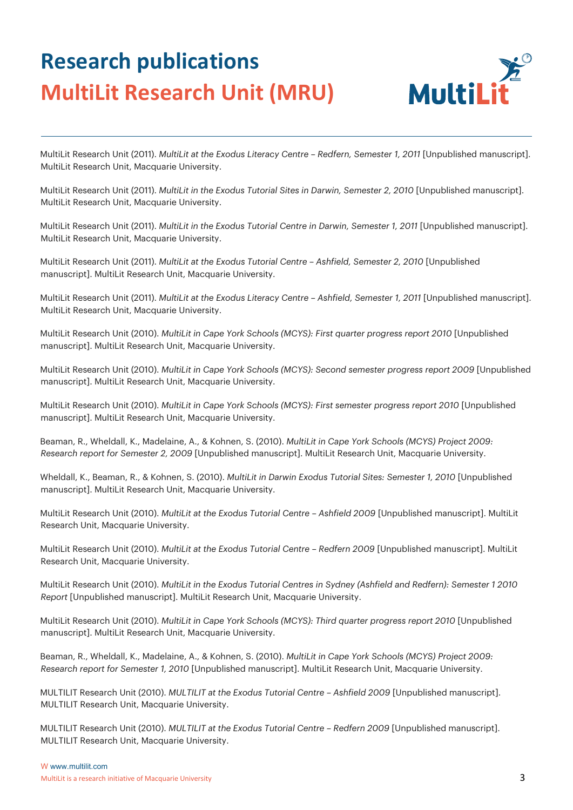

MultiLit Research Unit (2011). *MultiLit at the Exodus Literacy Centre – Redfern, Semester 1, 2011* [Unpublished manuscript]. MultiLit Research Unit, Macquarie University.

MultiLit Research Unit (2011). *MultiLit in the Exodus Tutorial Sites in Darwin, Semester 2, 2010* [Unpublished manuscript]. MultiLit Research Unit, Macquarie University.

MultiLit Research Unit (2011). *MultiLit in the Exodus Tutorial Centre in Darwin, Semester 1, 2011* [Unpublished manuscript]. MultiLit Research Unit, Macquarie University.

MultiLit Research Unit (2011). *MultiLit at the Exodus Tutorial Centre – Ashfield, Semester 2, 2010* [Unpublished manuscript]. MultiLit Research Unit, Macquarie University.

MultiLit Research Unit (2011). *MultiLit at the Exodus Literacy Centre – Ashfield, Semester 1, 2011* [Unpublished manuscript]. MultiLit Research Unit, Macquarie University.

MultiLit Research Unit (2010). *MultiLit in Cape York Schools (MCYS): First quarter progress report 2010* [Unpublished manuscript]. MultiLit Research Unit, Macquarie University.

MultiLit Research Unit (2010). *MultiLit in Cape York Schools (MCYS): Second semester progress report 2009* [Unpublished manuscript]. MultiLit Research Unit, Macquarie University.

MultiLit Research Unit (2010). *MultiLit in Cape York Schools (MCYS): First semester progress report 2010* [Unpublished manuscript]. MultiLit Research Unit, Macquarie University.

Beaman, R., Wheldall, K., Madelaine, A., & Kohnen, S. (2010). *MultiLit in Cape York Schools (MCYS) Project 2009: Research report for Semester 2, 2009* [Unpublished manuscript]. MultiLit Research Unit, Macquarie University.

Wheldall, K., Beaman, R., & Kohnen, S. (2010). *MultiLit in Darwin Exodus Tutorial Sites: Semester 1, 2010* [Unpublished manuscript]. MultiLit Research Unit, Macquarie University.

MultiLit Research Unit (2010). *MultiLit at the Exodus Tutorial Centre – Ashfield 2009* [Unpublished manuscript]. MultiLit Research Unit, Macquarie University.

MultiLit Research Unit (2010). *MultiLit at the Exodus Tutorial Centre – Redfern 2009* [Unpublished manuscript]. MultiLit Research Unit, Macquarie University.

MultiLit Research Unit (2010). *MultiLit in the Exodus Tutorial Centres in Sydney (Ashfield and Redfern): Semester 1 2010 Report* [Unpublished manuscript]. MultiLit Research Unit, Macquarie University.

MultiLit Research Unit (2010). *MultiLit in Cape York Schools (MCYS): Third quarter progress report 2010* [Unpublished manuscript]. MultiLit Research Unit, Macquarie University.

Beaman, R., Wheldall, K., Madelaine, A., & Kohnen, S. (2010). *MultiLit in Cape York Schools (MCYS) Project 2009: Research report for Semester 1, 2010* [Unpublished manuscript]. MultiLit Research Unit, Macquarie University.

MULTILIT Research Unit (2010). *MULTILIT at the Exodus Tutorial Centre – Ashfield 2009* [Unpublished manuscript]. MULTILIT Research Unit, Macquarie University.

MULTILIT Research Unit (2010). *MULTILIT at the Exodus Tutorial Centre – Redfern 2009* [Unpublished manuscript]. MULTILIT Research Unit, Macquarie University.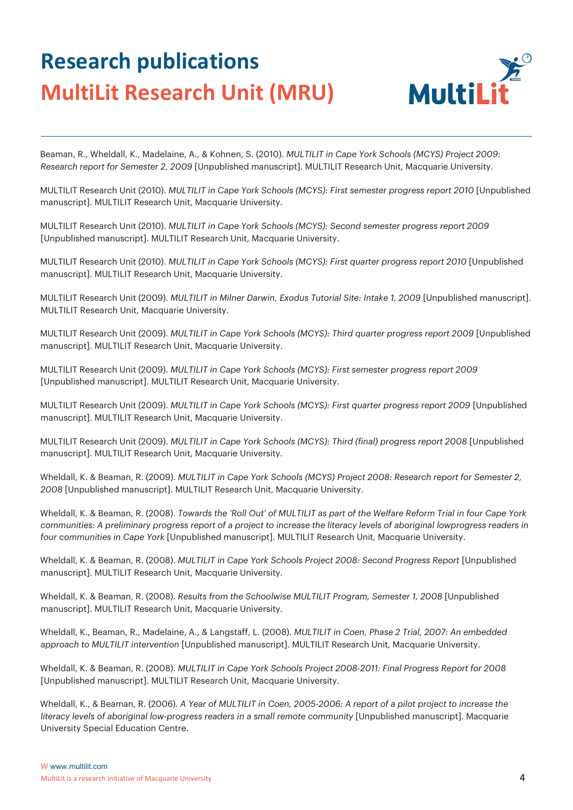

Beaman, R., Wheldall, K., Madelaine, A., & Kohnen, S. (2010). *MULTILIT in Cape York Schools (MCYS) Project 2009: Research report for Semester 2, 2009* [Unpublished manuscript]. MULTILIT Research Unit, Macquarie University.

MULTILIT Research Unit (2010). *MULTILIT in Cape York Schools (MCYS): First semester progress report 2010* [Unpublished manuscript]. MULTILIT Research Unit, Macquarie University.

MULTILIT Research Unit (2010). *MULTILIT in Cape York Schools (MCYS): Second semester progress report 2009* [Unpublished manuscript]. MULTILIT Research Unit, Macquarie University.

MULTILIT Research Unit (2010). *MULTILIT in Cape York Schools (MCYS): First quarter progress report 2010* [Unpublished manuscript]. MULTILIT Research Unit, Macquarie University.

MULTILIT Research Unit (2009). *MULTILIT in Milner Darwin, Exodus Tutorial Site: Intake 1, 2009* [Unpublished manuscript]. MULTILIT Research Unit, Macquarie University.

MULTILIT Research Unit (2009). *MULTILIT in Cape York Schools (MCYS): Third quarter progress report 2009* [Unpublished manuscript]. MULTILIT Research Unit, Macquarie University.

MULTILIT Research Unit (2009). *MULTILIT in Cape York Schools (MCYS): First semester progress report 2009*  [Unpublished manuscript]. MULTILIT Research Unit, Macquarie University.

MULTILIT Research Unit (2009). *MULTILIT in Cape York Schools (MCYS): First quarter progress report 2009* [Unpublished manuscript]. MULTILIT Research Unit, Macquarie University.

MULTILIT Research Unit (2009). *MULTILIT in Cape York Schools (MCYS): Third (final) progress report 2008* [Unpublished manuscript]. MULTILIT Research Unit, Macquarie University.

Wheldall, K. & Beaman, R. (2009). *MULTILIT in Cape York Schools (MCYS) Project 2008: Research report for Semester 2, 2008* [Unpublished manuscript]. MULTILIT Research Unit, Macquarie University.

Wheldall, K. & Beaman, R. (2008). *Towards the 'Roll Out' of MULTILIT as part of the Welfare Reform Trial in four Cape York communities: A preliminary progress report of a project to increase the literacy levels of aboriginal lowprogress readers in four communities in Cape York* [Unpublished manuscript]. MULTILIT Research Unit, Macquarie University.

Wheldall, K. & Beaman, R. (2008). *MULTILIT in Cape York Schools Project 2008: Second Progress Report* [Unpublished manuscript]. MULTILIT Research Unit, Macquarie University.

Wheldall, K. & Beaman, R. (2008). *Results from the Schoolwise MULTILIT Program, Semester 1, 2008* [Unpublished manuscript]. MULTILIT Research Unit, Macquarie University.

Wheldall, K., Beaman, R., Madelaine, A., & Langstaff, L. (2008). *MULTILIT in Coen, Phase 2 Trial, 2007: An embedded approach to MULTILIT intervention* [Unpublished manuscript]. MULTILIT Research Unit, Macquarie University.

Wheldall, K. & Beaman, R. (2008). *MULTILIT in Cape York Schools Project 2008-2011: Final Progress Report for 2008* [Unpublished manuscript]. MULTILIT Research Unit, Macquarie University.

Wheldall, K., & Beaman, R. (2006). *A Year of MULTILIT in Coen, 2005-2006: A report of a pilot project to increase the literacy levels of aboriginal low-progress readers in a small remote community* [Unpublished manuscript]. Macquarie University Special Education Centre.